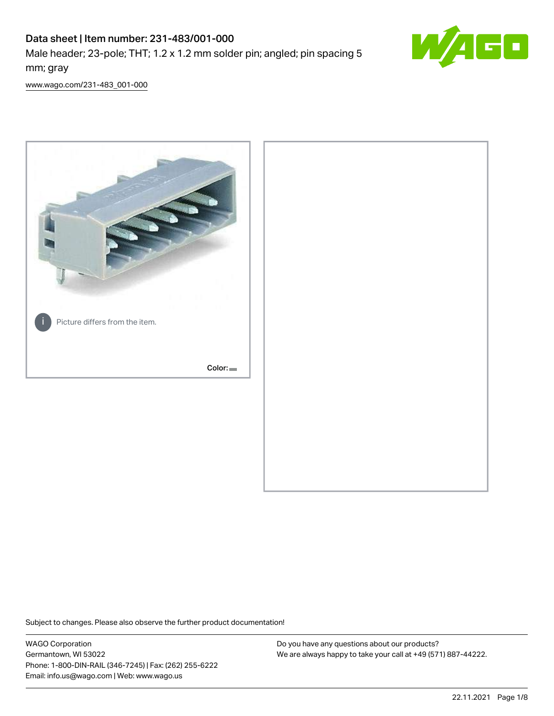# Data sheet | Item number: 231-483/001-000

Male header; 23-pole; THT; 1.2 x 1.2 mm solder pin; angled; pin spacing 5 mm; gray



[www.wago.com/231-483\\_001-000](http://www.wago.com/231-483_001-000)



Subject to changes. Please also observe the further product documentation!

WAGO Corporation Germantown, WI 53022 Phone: 1-800-DIN-RAIL (346-7245) | Fax: (262) 255-6222 Email: info.us@wago.com | Web: www.wago.us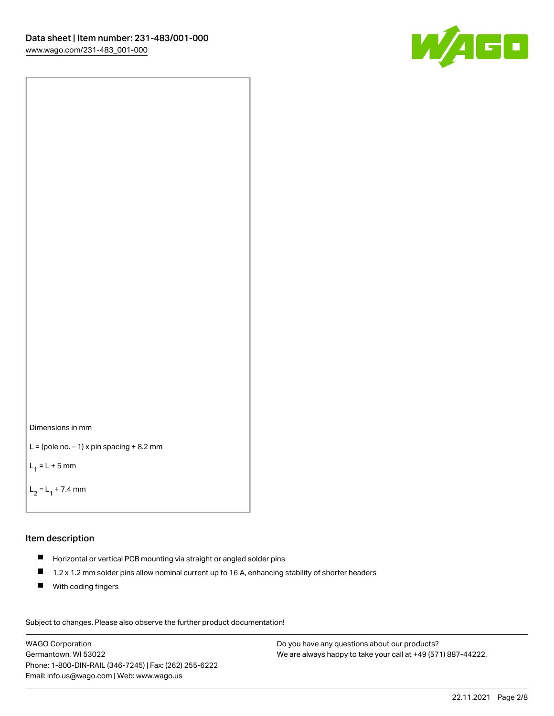



```
L = (pole no. -1) x pin spacing +8.2 mm
```
 $L_1 = L + 5$  mm

```
L_2 = L_1 + 7.4 mm
```
#### Item description

- Horizontal or vertical PCB mounting via straight or angled solder pins
- $\blacksquare$ 1.2 x 1.2 mm solder pins allow nominal current up to 16 A, enhancing stability of shorter headers
- **With coding fingers**

Subject to changes. Please also observe the further product documentation! Data

WAGO Corporation Germantown, WI 53022 Phone: 1-800-DIN-RAIL (346-7245) | Fax: (262) 255-6222 Email: info.us@wago.com | Web: www.wago.us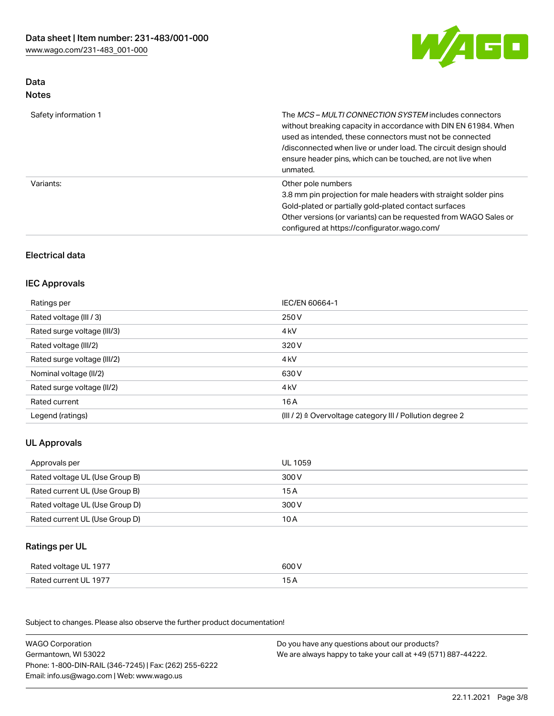

### Data Notes

| Safety information 1 | The <i>MCS – MULTI CONNECTION SYSTEM</i> includes connectors<br>without breaking capacity in accordance with DIN EN 61984. When<br>used as intended, these connectors must not be connected<br>/disconnected when live or under load. The circuit design should<br>ensure header pins, which can be touched, are not live when<br>unmated. |
|----------------------|--------------------------------------------------------------------------------------------------------------------------------------------------------------------------------------------------------------------------------------------------------------------------------------------------------------------------------------------|
| Variants:            | Other pole numbers<br>3.8 mm pin projection for male headers with straight solder pins<br>Gold-plated or partially gold-plated contact surfaces<br>Other versions (or variants) can be requested from WAGO Sales or<br>configured at https://configurator.wago.com/                                                                        |

## Electrical data

## IEC Approvals

| Ratings per                 | IEC/EN 60664-1                                                        |
|-----------------------------|-----------------------------------------------------------------------|
| Rated voltage (III / 3)     | 250 V                                                                 |
| Rated surge voltage (III/3) | 4 <sub>k</sub> V                                                      |
| Rated voltage (III/2)       | 320 V                                                                 |
| Rated surge voltage (III/2) | 4 <sub>k</sub> V                                                      |
| Nominal voltage (II/2)      | 630 V                                                                 |
| Rated surge voltage (II/2)  | 4 <sub>k</sub> V                                                      |
| Rated current               | 16 A                                                                  |
| Legend (ratings)            | $(III / 2)$ $\triangle$ Overvoltage category III / Pollution degree 2 |

## UL Approvals

| Approvals per                  | UL 1059 |
|--------------------------------|---------|
| Rated voltage UL (Use Group B) | 300 V   |
| Rated current UL (Use Group B) | 15 A    |
| Rated voltage UL (Use Group D) | 300 V   |
| Rated current UL (Use Group D) | 10 A    |

### Ratings per UL

| Rated voltage UL 1977 | 600 V |
|-----------------------|-------|
| Rated current UL 1977 |       |

Subject to changes. Please also observe the further product documentation!

| <b>WAGO Corporation</b>                                | Do you have any questions about our products?                 |
|--------------------------------------------------------|---------------------------------------------------------------|
| Germantown, WI 53022                                   | We are always happy to take your call at +49 (571) 887-44222. |
| Phone: 1-800-DIN-RAIL (346-7245)   Fax: (262) 255-6222 |                                                               |
| Email: info.us@wago.com   Web: www.wago.us             |                                                               |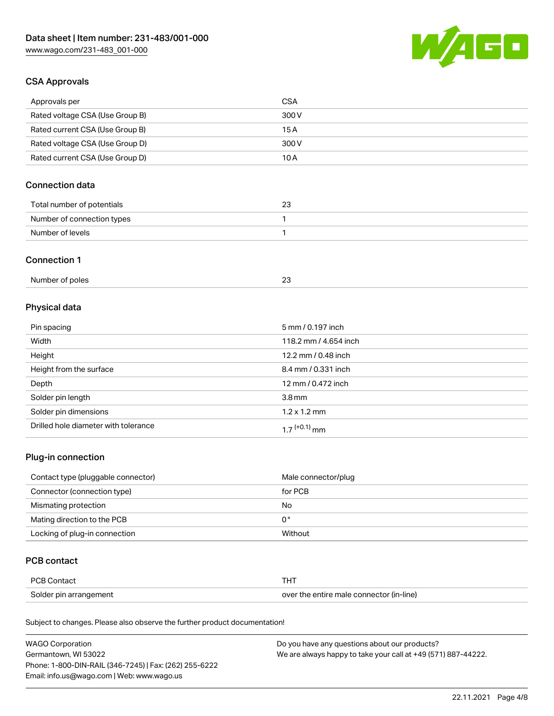

### CSA Approvals

| Approvals per                   | CSA   |
|---------------------------------|-------|
| Rated voltage CSA (Use Group B) | 300 V |
| Rated current CSA (Use Group B) | 15 A  |
| Rated voltage CSA (Use Group D) | 300 V |
| Rated current CSA (Use Group D) | 10 A  |

## Connection data

| Total number of potentials | 23 |
|----------------------------|----|
| Number of connection types |    |
| Number of levels           |    |

#### Connection 1

| Number of poles |  |
|-----------------|--|
|                 |  |

# Physical data

| Pin spacing                          | 5 mm / 0.197 inch     |
|--------------------------------------|-----------------------|
| Width                                | 118.2 mm / 4.654 inch |
| Height                               | 12.2 mm / 0.48 inch   |
| Height from the surface              | 8.4 mm / 0.331 inch   |
| Depth                                | 12 mm / 0.472 inch    |
| Solder pin length                    | 3.8 <sub>mm</sub>     |
| Solder pin dimensions                | $1.2 \times 1.2$ mm   |
| Drilled hole diameter with tolerance | $17^{(+0.1)}$ mm      |

## Plug-in connection

| Contact type (pluggable connector) | Male connector/plug |
|------------------------------------|---------------------|
| Connector (connection type)        | for PCB             |
| Mismating protection               | No                  |
| Mating direction to the PCB        | 0°                  |
| Locking of plug-in connection      | Without             |

### PCB contact

| <b>PCB Contact</b>     | <b>THT</b>                               |
|------------------------|------------------------------------------|
| Solder pin arrangement | over the entire male connector (in-line) |

Subject to changes. Please also observe the further product documentation!

| <b>WAGO Corporation</b>                                | Do you have any questions about our products?                 |
|--------------------------------------------------------|---------------------------------------------------------------|
| Germantown, WI 53022                                   | We are always happy to take your call at +49 (571) 887-44222. |
| Phone: 1-800-DIN-RAIL (346-7245)   Fax: (262) 255-6222 |                                                               |
| Email: info.us@wago.com   Web: www.wago.us             |                                                               |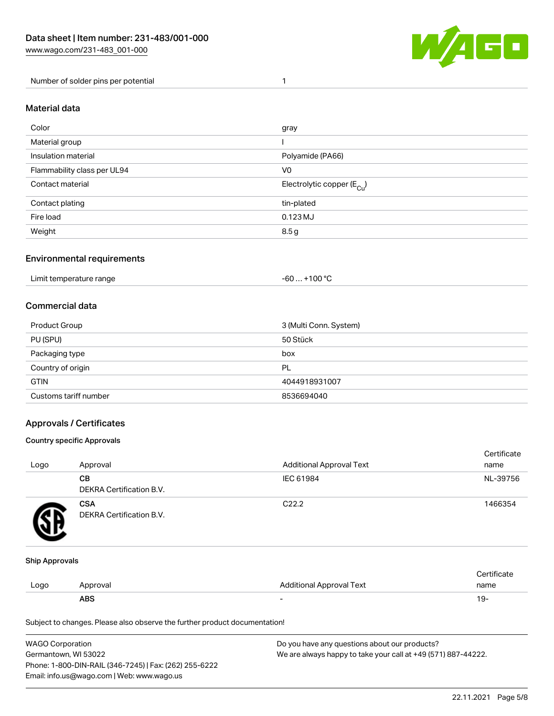

Number of solder pins per potential 1

#### Material data

| Color                       | gray                                   |
|-----------------------------|----------------------------------------|
| Material group              |                                        |
| Insulation material         | Polyamide (PA66)                       |
| Flammability class per UL94 | V <sub>0</sub>                         |
| Contact material            | Electrolytic copper (E <sub>Cu</sub> ) |
| Contact plating             | tin-plated                             |
| Fire load                   | 0.123 MJ                               |
| Weight                      | 8.5 <sub>g</sub>                       |

#### Environmental requirements

Limit temperature range  $-60... +100$  °C

#### Commercial data

| Product Group         | 3 (Multi Conn. System) |
|-----------------------|------------------------|
| PU (SPU)              | 50 Stück               |
| Packaging type        | box                    |
| Country of origin     | PL                     |
| <b>GTIN</b>           | 4044918931007          |
| Customs tariff number | 8536694040             |

#### Approvals / Certificates

#### Country specific Approvals

| Logo | Approval                               | <b>Additional Approval Text</b> | Certificate<br>name |
|------|----------------------------------------|---------------------------------|---------------------|
|      | <b>CB</b><br>DEKRA Certification B.V.  | IEC 61984                       | NL-39756            |
|      | <b>CSA</b><br>DEKRA Certification B.V. | C <sub>22.2</sub>               | 1466354             |

#### Ship Approvals

|      | ABS      | -                        | -91                    |
|------|----------|--------------------------|------------------------|
| Logo | Approval | Additional Approval Text | name                   |
|      |          |                          | $\cdot$<br>ੋ°rtificate |

Subject to changes. Please also observe the further product documentation!

| WAGO Corporation                                       | Do you have any questions about our products?                 |
|--------------------------------------------------------|---------------------------------------------------------------|
| Germantown, WI 53022                                   | We are always happy to take your call at +49 (571) 887-44222. |
| Phone: 1-800-DIN-RAIL (346-7245)   Fax: (262) 255-6222 |                                                               |
| Email: info.us@wago.com   Web: www.wago.us             |                                                               |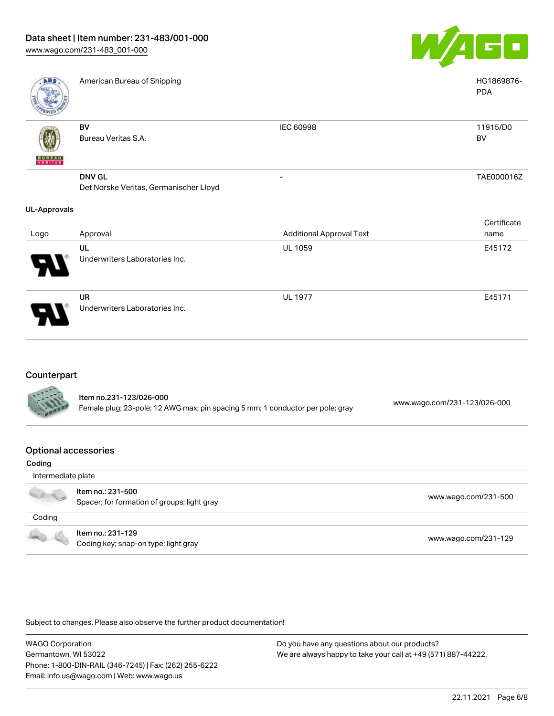

| ABS                 | American Bureau of Shipping            |                                 | HG1869876-<br><b>PDA</b> |
|---------------------|----------------------------------------|---------------------------------|--------------------------|
|                     | <b>BV</b>                              | <b>IEC 60998</b>                | 11915/D0                 |
|                     | Bureau Veritas S.A.                    |                                 | BV                       |
| <b>BUREAU</b>       |                                        |                                 |                          |
|                     | <b>DNV GL</b>                          | -                               | TAE000016Z               |
|                     | Det Norske Veritas, Germanischer Lloyd |                                 |                          |
| <b>UL-Approvals</b> |                                        |                                 |                          |
|                     |                                        |                                 | Certificate              |
| Logo                | Approval                               | <b>Additional Approval Text</b> | name                     |
|                     | UL                                     | UL 1059                         | E45172                   |
|                     | Underwriters Laboratories Inc.         |                                 |                          |
|                     | UR                                     | <b>UL 1977</b>                  | E45171                   |
|                     | Underwriters Laboratories Inc.         |                                 |                          |

### Counterpart

| <b>CALLES</b> | Item no.231-123/026-000<br>Female plug; 23-pole; 12 AWG max; pin spacing 5 mm; 1 conductor per pole; gray | www.wago.com/231-123/026-000 |
|---------------|-----------------------------------------------------------------------------------------------------------|------------------------------|
|               |                                                                                                           |                              |

#### Optional accessories

| Coding             |                                                                  |                      |
|--------------------|------------------------------------------------------------------|----------------------|
| Intermediate plate |                                                                  |                      |
|                    | Item no.: 231-500<br>Spacer; for formation of groups; light gray | www.wago.com/231-500 |
| Coding             |                                                                  |                      |
|                    | Item no.: 231-129<br>Coding key; snap-on type; light gray        | www.wago.com/231-129 |

Subject to changes. Please also observe the further product documentation!

WAGO Corporation Germantown, WI 53022 Phone: 1-800-DIN-RAIL (346-7245) | Fax: (262) 255-6222 Email: info.us@wago.com | Web: www.wago.us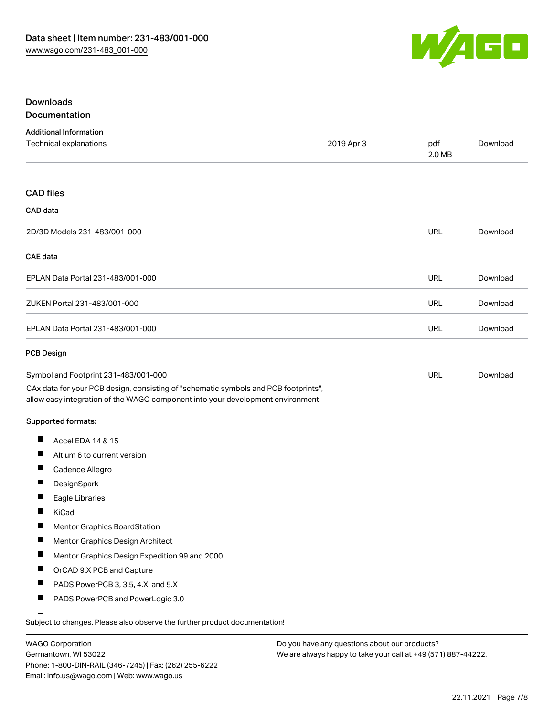

#### Downloads Documentation

|  |  | <u>,,,,,,,,,,,,,,,,,,,,,,,</u> |  |
|--|--|--------------------------------|--|
|  |  |                                |  |
|  |  |                                |  |
|  |  |                                |  |

| <b>Additional Information</b><br>Technical explanations                                                                                                                | 2019 Apr 3 | pdf<br>2.0 MB | Download |
|------------------------------------------------------------------------------------------------------------------------------------------------------------------------|------------|---------------|----------|
| <b>CAD files</b>                                                                                                                                                       |            |               |          |
| CAD data                                                                                                                                                               |            |               |          |
| 2D/3D Models 231-483/001-000                                                                                                                                           |            | URL           | Download |
| <b>CAE</b> data                                                                                                                                                        |            |               |          |
| EPLAN Data Portal 231-483/001-000                                                                                                                                      |            | URL           | Download |
| ZUKEN Portal 231-483/001-000                                                                                                                                           |            | <b>URL</b>    | Download |
| EPLAN Data Portal 231-483/001-000                                                                                                                                      |            | URL           | Download |
| <b>PCB Design</b>                                                                                                                                                      |            |               |          |
| Symbol and Footprint 231-483/001-000                                                                                                                                   |            | URL           | Download |
| CAx data for your PCB design, consisting of "schematic symbols and PCB footprints",<br>allow easy integration of the WAGO component into your development environment. |            |               |          |
| <b>Supported formats:</b>                                                                                                                                              |            |               |          |
| Ш<br>Accel EDA 14 & 15                                                                                                                                                 |            |               |          |
| Ш<br>Altium 6 to current version                                                                                                                                       |            |               |          |
| Ш<br>Cadence Allegro                                                                                                                                                   |            |               |          |
| ш<br>DesignSpark                                                                                                                                                       |            |               |          |
| П<br>Eagle Libraries                                                                                                                                                   |            |               |          |
| ш<br>KiCad                                                                                                                                                             |            |               |          |
| Mentor Graphics BoardStation                                                                                                                                           |            |               |          |
| ш<br>Mentor Graphics Design Architect                                                                                                                                  |            |               |          |
| Mentor Graphics Design Expedition 99 and 2000<br>a ka                                                                                                                  |            |               |          |
| Ш<br>OrCAD 9.X PCB and Capture                                                                                                                                         |            |               |          |
| ш<br>PADS PowerPCB 3, 3.5, 4.X, and 5.X                                                                                                                                |            |               |          |
| ш<br>PADS PowerPCB and PowerLogic 3.0                                                                                                                                  |            |               |          |
| Subject to changes. Please also observe the further product documentation!                                                                                             |            |               |          |